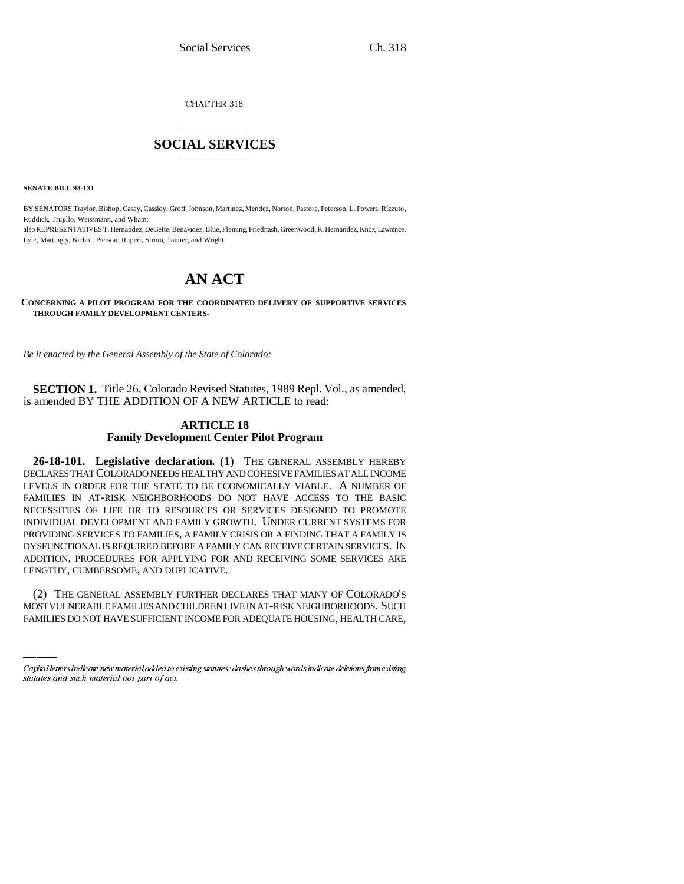CHAPTER 318

# \_\_\_\_\_\_\_\_\_\_\_\_\_\_\_ **SOCIAL SERVICES** \_\_\_\_\_\_\_\_\_\_\_\_\_\_\_

**SENATE BILL 93-131**

BY SENATORS Traylor, Bishop, Casey, Cassidy, Groff, Johnson, Martinez, Mendez, Norton, Pastore, Peterson, L. Powers, Rizzuto, Ruddick, Trujillo, Weissmann, and Wham; also REPRESENTATIVES T. Hernandez, DeGette, Benavidez, Blue, Fleming, Friednash, Greenwood, R. Hernandez, Knox, Lawrence, Lyle, Mattingly, Nichol, Pierson, Rupert, Strom, Tanner, and Wright.

# **AN ACT**

**CONCERNING A PILOT PROGRAM FOR THE COORDINATED DELIVERY OF SUPPORTIVE SERVICES THROUGH FAMILY DEVELOPMENT CENTERS.**

*Be it enacted by the General Assembly of the State of Colorado:*

**SECTION 1.** Title 26, Colorado Revised Statutes, 1989 Repl. Vol., as amended, is amended BY THE ADDITION OF A NEW ARTICLE to read:

## **ARTICLE 18 Family Development Center Pilot Program**

LENGTHY, CUMBERSOME, AND DUPLICATIVE. **26-18-101. Legislative declaration.** (1) THE GENERAL ASSEMBLY HEREBY DECLARES THAT COLORADO NEEDS HEALTHY AND COHESIVE FAMILIES AT ALL INCOME LEVELS IN ORDER FOR THE STATE TO BE ECONOMICALLY VIABLE. A NUMBER OF FAMILIES IN AT-RISK NEIGHBORHOODS DO NOT HAVE ACCESS TO THE BASIC NECESSITIES OF LIFE OR TO RESOURCES OR SERVICES DESIGNED TO PROMOTE INDIVIDUAL DEVELOPMENT AND FAMILY GROWTH. UNDER CURRENT SYSTEMS FOR PROVIDING SERVICES TO FAMILIES, A FAMILY CRISIS OR A FINDING THAT A FAMILY IS DYSFUNCTIONAL IS REQUIRED BEFORE A FAMILY CAN RECEIVE CERTAIN SERVICES. IN ADDITION, PROCEDURES FOR APPLYING FOR AND RECEIVING SOME SERVICES ARE

(2) THE GENERAL ASSEMBLY FURTHER DECLARES THAT MANY OF COLORADO'S MOST VULNERABLE FAMILIES AND CHILDREN LIVE IN AT-RISK NEIGHBORHOODS. SUCH FAMILIES DO NOT HAVE SUFFICIENT INCOME FOR ADEQUATE HOUSING, HEALTH CARE,

Capital letters indicate new material added to existing statutes; dashes through words indicate deletions from existing statutes and such material not part of act.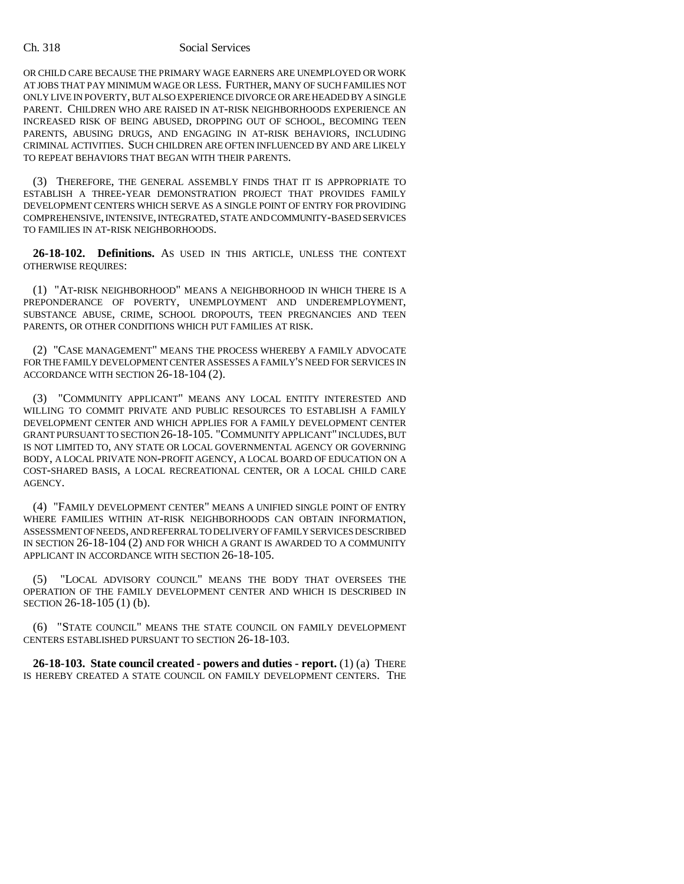### Ch. 318 Social Services

OR CHILD CARE BECAUSE THE PRIMARY WAGE EARNERS ARE UNEMPLOYED OR WORK AT JOBS THAT PAY MINIMUM WAGE OR LESS. FURTHER, MANY OF SUCH FAMILIES NOT ONLY LIVE IN POVERTY, BUT ALSO EXPERIENCE DIVORCE OR ARE HEADED BY A SINGLE PARENT. CHILDREN WHO ARE RAISED IN AT-RISK NEIGHBORHOODS EXPERIENCE AN INCREASED RISK OF BEING ABUSED, DROPPING OUT OF SCHOOL, BECOMING TEEN PARENTS, ABUSING DRUGS, AND ENGAGING IN AT-RISK BEHAVIORS, INCLUDING CRIMINAL ACTIVITIES. SUCH CHILDREN ARE OFTEN INFLUENCED BY AND ARE LIKELY TO REPEAT BEHAVIORS THAT BEGAN WITH THEIR PARENTS.

(3) THEREFORE, THE GENERAL ASSEMBLY FINDS THAT IT IS APPROPRIATE TO ESTABLISH A THREE-YEAR DEMONSTRATION PROJECT THAT PROVIDES FAMILY DEVELOPMENT CENTERS WHICH SERVE AS A SINGLE POINT OF ENTRY FOR PROVIDING COMPREHENSIVE, INTENSIVE, INTEGRATED, STATE AND COMMUNITY-BASED SERVICES TO FAMILIES IN AT-RISK NEIGHBORHOODS.

**26-18-102. Definitions.** AS USED IN THIS ARTICLE, UNLESS THE CONTEXT OTHERWISE REQUIRES:

(1) "AT-RISK NEIGHBORHOOD" MEANS A NEIGHBORHOOD IN WHICH THERE IS A PREPONDERANCE OF POVERTY, UNEMPLOYMENT AND UNDEREMPLOYMENT, SUBSTANCE ABUSE, CRIME, SCHOOL DROPOUTS, TEEN PREGNANCIES AND TEEN PARENTS, OR OTHER CONDITIONS WHICH PUT FAMILIES AT RISK.

(2) "CASE MANAGEMENT" MEANS THE PROCESS WHEREBY A FAMILY ADVOCATE FOR THE FAMILY DEVELOPMENT CENTER ASSESSES A FAMILY'S NEED FOR SERVICES IN ACCORDANCE WITH SECTION 26-18-104 (2).

(3) "COMMUNITY APPLICANT" MEANS ANY LOCAL ENTITY INTERESTED AND WILLING TO COMMIT PRIVATE AND PUBLIC RESOURCES TO ESTABLISH A FAMILY DEVELOPMENT CENTER AND WHICH APPLIES FOR A FAMILY DEVELOPMENT CENTER GRANT PURSUANT TO SECTION 26-18-105. "COMMUNITY APPLICANT" INCLUDES, BUT IS NOT LIMITED TO, ANY STATE OR LOCAL GOVERNMENTAL AGENCY OR GOVERNING BODY, A LOCAL PRIVATE NON-PROFIT AGENCY, A LOCAL BOARD OF EDUCATION ON A COST-SHARED BASIS, A LOCAL RECREATIONAL CENTER, OR A LOCAL CHILD CARE AGENCY.

(4) "FAMILY DEVELOPMENT CENTER" MEANS A UNIFIED SINGLE POINT OF ENTRY WHERE FAMILIES WITHIN AT-RISK NEIGHBORHOODS CAN OBTAIN INFORMATION, ASSESSMENT OF NEEDS, AND REFERRAL TO DELIVERY OF FAMILY SERVICES DESCRIBED IN SECTION 26-18-104 (2) AND FOR WHICH A GRANT IS AWARDED TO A COMMUNITY APPLICANT IN ACCORDANCE WITH SECTION 26-18-105.

(5) "LOCAL ADVISORY COUNCIL" MEANS THE BODY THAT OVERSEES THE OPERATION OF THE FAMILY DEVELOPMENT CENTER AND WHICH IS DESCRIBED IN SECTION 26-18-105 (1) (b).

(6) "STATE COUNCIL" MEANS THE STATE COUNCIL ON FAMILY DEVELOPMENT CENTERS ESTABLISHED PURSUANT TO SECTION 26-18-103.

**26-18-103. State council created - powers and duties - report.** (1) (a) THERE IS HEREBY CREATED A STATE COUNCIL ON FAMILY DEVELOPMENT CENTERS. THE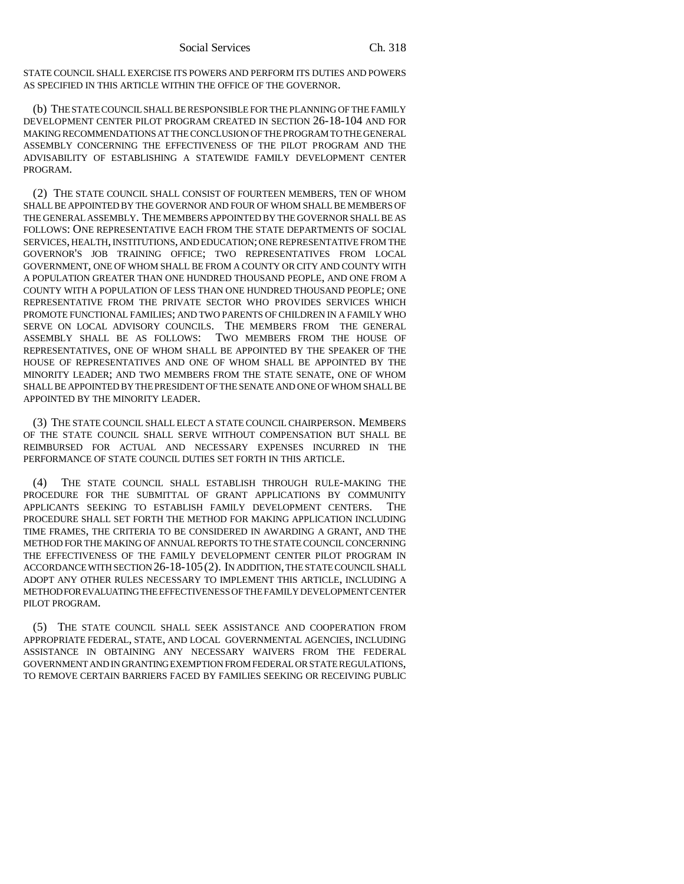STATE COUNCIL SHALL EXERCISE ITS POWERS AND PERFORM ITS DUTIES AND POWERS AS SPECIFIED IN THIS ARTICLE WITHIN THE OFFICE OF THE GOVERNOR.

(b) THE STATE COUNCIL SHALL BE RESPONSIBLE FOR THE PLANNING OF THE FAMILY DEVELOPMENT CENTER PILOT PROGRAM CREATED IN SECTION 26-18-104 AND FOR MAKING RECOMMENDATIONS AT THE CONCLUSION OF THE PROGRAM TO THE GENERAL ASSEMBLY CONCERNING THE EFFECTIVENESS OF THE PILOT PROGRAM AND THE ADVISABILITY OF ESTABLISHING A STATEWIDE FAMILY DEVELOPMENT CENTER PROGRAM.

(2) THE STATE COUNCIL SHALL CONSIST OF FOURTEEN MEMBERS, TEN OF WHOM SHALL BE APPOINTED BY THE GOVERNOR AND FOUR OF WHOM SHALL BE MEMBERS OF THE GENERAL ASSEMBLY. THE MEMBERS APPOINTED BY THE GOVERNOR SHALL BE AS FOLLOWS: ONE REPRESENTATIVE EACH FROM THE STATE DEPARTMENTS OF SOCIAL SERVICES, HEALTH, INSTITUTIONS, AND EDUCATION; ONE REPRESENTATIVE FROM THE GOVERNOR'S JOB TRAINING OFFICE; TWO REPRESENTATIVES FROM LOCAL GOVERNMENT, ONE OF WHOM SHALL BE FROM A COUNTY OR CITY AND COUNTY WITH A POPULATION GREATER THAN ONE HUNDRED THOUSAND PEOPLE, AND ONE FROM A COUNTY WITH A POPULATION OF LESS THAN ONE HUNDRED THOUSAND PEOPLE; ONE REPRESENTATIVE FROM THE PRIVATE SECTOR WHO PROVIDES SERVICES WHICH PROMOTE FUNCTIONAL FAMILIES; AND TWO PARENTS OF CHILDREN IN A FAMILY WHO SERVE ON LOCAL ADVISORY COUNCILS. THE MEMBERS FROM THE GENERAL ASSEMBLY SHALL BE AS FOLLOWS: TWO MEMBERS FROM THE HOUSE OF TWO MEMBERS FROM THE HOUSE OF REPRESENTATIVES, ONE OF WHOM SHALL BE APPOINTED BY THE SPEAKER OF THE HOUSE OF REPRESENTATIVES AND ONE OF WHOM SHALL BE APPOINTED BY THE MINORITY LEADER; AND TWO MEMBERS FROM THE STATE SENATE, ONE OF WHOM SHALL BE APPOINTED BY THE PRESIDENT OF THE SENATE AND ONE OF WHOM SHALL BE APPOINTED BY THE MINORITY LEADER.

(3) THE STATE COUNCIL SHALL ELECT A STATE COUNCIL CHAIRPERSON. MEMBERS OF THE STATE COUNCIL SHALL SERVE WITHOUT COMPENSATION BUT SHALL BE REIMBURSED FOR ACTUAL AND NECESSARY EXPENSES INCURRED IN THE PERFORMANCE OF STATE COUNCIL DUTIES SET FORTH IN THIS ARTICLE.

(4) THE STATE COUNCIL SHALL ESTABLISH THROUGH RULE-MAKING THE PROCEDURE FOR THE SUBMITTAL OF GRANT APPLICATIONS BY COMMUNITY APPLICANTS SEEKING TO ESTABLISH FAMILY DEVELOPMENT CENTERS. THE PROCEDURE SHALL SET FORTH THE METHOD FOR MAKING APPLICATION INCLUDING TIME FRAMES, THE CRITERIA TO BE CONSIDERED IN AWARDING A GRANT, AND THE METHOD FOR THE MAKING OF ANNUAL REPORTS TO THE STATE COUNCIL CONCERNING THE EFFECTIVENESS OF THE FAMILY DEVELOPMENT CENTER PILOT PROGRAM IN ACCORDANCE WITH SECTION 26-18-105(2). IN ADDITION, THE STATE COUNCIL SHALL ADOPT ANY OTHER RULES NECESSARY TO IMPLEMENT THIS ARTICLE, INCLUDING A METHOD FOR EVALUATING THE EFFECTIVENESS OF THE FAMILY DEVELOPMENT CENTER PILOT PROGRAM.

(5) THE STATE COUNCIL SHALL SEEK ASSISTANCE AND COOPERATION FROM APPROPRIATE FEDERAL, STATE, AND LOCAL GOVERNMENTAL AGENCIES, INCLUDING ASSISTANCE IN OBTAINING ANY NECESSARY WAIVERS FROM THE FEDERAL GOVERNMENT AND IN GRANTING EXEMPTION FROM FEDERAL OR STATE REGULATIONS, TO REMOVE CERTAIN BARRIERS FACED BY FAMILIES SEEKING OR RECEIVING PUBLIC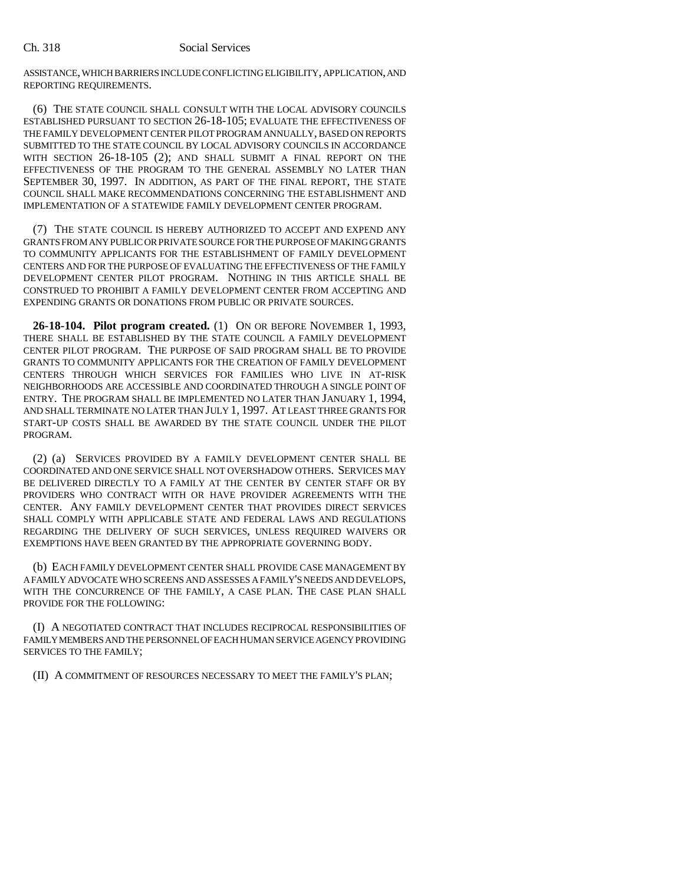### Ch. 318 Social Services

ASSISTANCE, WHICH BARRIERS INCLUDE CONFLICTING ELIGIBILITY, APPLICATION, AND REPORTING REQUIREMENTS.

(6) THE STATE COUNCIL SHALL CONSULT WITH THE LOCAL ADVISORY COUNCILS ESTABLISHED PURSUANT TO SECTION 26-18-105; EVALUATE THE EFFECTIVENESS OF THE FAMILY DEVELOPMENT CENTER PILOT PROGRAM ANNUALLY, BASED ON REPORTS SUBMITTED TO THE STATE COUNCIL BY LOCAL ADVISORY COUNCILS IN ACCORDANCE WITH SECTION 26-18-105 (2); AND SHALL SUBMIT A FINAL REPORT ON THE EFFECTIVENESS OF THE PROGRAM TO THE GENERAL ASSEMBLY NO LATER THAN SEPTEMBER 30, 1997. IN ADDITION, AS PART OF THE FINAL REPORT, THE STATE COUNCIL SHALL MAKE RECOMMENDATIONS CONCERNING THE ESTABLISHMENT AND IMPLEMENTATION OF A STATEWIDE FAMILY DEVELOPMENT CENTER PROGRAM.

(7) THE STATE COUNCIL IS HEREBY AUTHORIZED TO ACCEPT AND EXPEND ANY GRANTS FROM ANY PUBLIC OR PRIVATE SOURCE FOR THE PURPOSE OF MAKING GRANTS TO COMMUNITY APPLICANTS FOR THE ESTABLISHMENT OF FAMILY DEVELOPMENT CENTERS AND FOR THE PURPOSE OF EVALUATING THE EFFECTIVENESS OF THE FAMILY DEVELOPMENT CENTER PILOT PROGRAM. NOTHING IN THIS ARTICLE SHALL BE CONSTRUED TO PROHIBIT A FAMILY DEVELOPMENT CENTER FROM ACCEPTING AND EXPENDING GRANTS OR DONATIONS FROM PUBLIC OR PRIVATE SOURCES.

**26-18-104. Pilot program created.** (1) ON OR BEFORE NOVEMBER 1, 1993, THERE SHALL BE ESTABLISHED BY THE STATE COUNCIL A FAMILY DEVELOPMENT CENTER PILOT PROGRAM. THE PURPOSE OF SAID PROGRAM SHALL BE TO PROVIDE GRANTS TO COMMUNITY APPLICANTS FOR THE CREATION OF FAMILY DEVELOPMENT CENTERS THROUGH WHICH SERVICES FOR FAMILIES WHO LIVE IN AT-RISK NEIGHBORHOODS ARE ACCESSIBLE AND COORDINATED THROUGH A SINGLE POINT OF ENTRY. THE PROGRAM SHALL BE IMPLEMENTED NO LATER THAN JANUARY 1, 1994, AND SHALL TERMINATE NO LATER THAN JULY 1, 1997. AT LEAST THREE GRANTS FOR START-UP COSTS SHALL BE AWARDED BY THE STATE COUNCIL UNDER THE PILOT PROGRAM.

(2) (a) SERVICES PROVIDED BY A FAMILY DEVELOPMENT CENTER SHALL BE COORDINATED AND ONE SERVICE SHALL NOT OVERSHADOW OTHERS. SERVICES MAY BE DELIVERED DIRECTLY TO A FAMILY AT THE CENTER BY CENTER STAFF OR BY PROVIDERS WHO CONTRACT WITH OR HAVE PROVIDER AGREEMENTS WITH THE CENTER. ANY FAMILY DEVELOPMENT CENTER THAT PROVIDES DIRECT SERVICES SHALL COMPLY WITH APPLICABLE STATE AND FEDERAL LAWS AND REGULATIONS REGARDING THE DELIVERY OF SUCH SERVICES, UNLESS REQUIRED WAIVERS OR EXEMPTIONS HAVE BEEN GRANTED BY THE APPROPRIATE GOVERNING BODY.

(b) EACH FAMILY DEVELOPMENT CENTER SHALL PROVIDE CASE MANAGEMENT BY A FAMILY ADVOCATE WHO SCREENS AND ASSESSES A FAMILY'S NEEDS AND DEVELOPS, WITH THE CONCURRENCE OF THE FAMILY, A CASE PLAN. THE CASE PLAN SHALL PROVIDE FOR THE FOLLOWING:

(I) A NEGOTIATED CONTRACT THAT INCLUDES RECIPROCAL RESPONSIBILITIES OF FAMILY MEMBERS AND THE PERSONNEL OF EACH HUMAN SERVICE AGENCY PROVIDING SERVICES TO THE FAMILY;

(II) A COMMITMENT OF RESOURCES NECESSARY TO MEET THE FAMILY'S PLAN;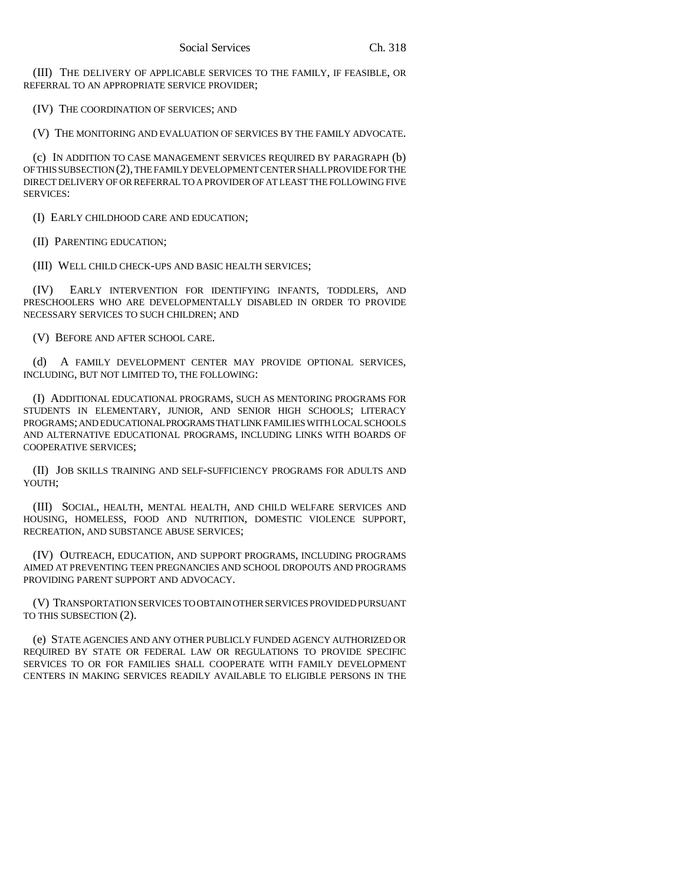(III) THE DELIVERY OF APPLICABLE SERVICES TO THE FAMILY, IF FEASIBLE, OR REFERRAL TO AN APPROPRIATE SERVICE PROVIDER;

(IV) THE COORDINATION OF SERVICES; AND

(V) THE MONITORING AND EVALUATION OF SERVICES BY THE FAMILY ADVOCATE.

(c) IN ADDITION TO CASE MANAGEMENT SERVICES REQUIRED BY PARAGRAPH (b) OF THIS SUBSECTION (2), THE FAMILY DEVELOPMENT CENTER SHALL PROVIDE FOR THE DIRECT DELIVERY OF OR REFERRAL TO A PROVIDER OF AT LEAST THE FOLLOWING FIVE SERVICES:

(I) EARLY CHILDHOOD CARE AND EDUCATION;

(II) PARENTING EDUCATION;

(III) WELL CHILD CHECK-UPS AND BASIC HEALTH SERVICES;

(IV) EARLY INTERVENTION FOR IDENTIFYING INFANTS, TODDLERS, AND PRESCHOOLERS WHO ARE DEVELOPMENTALLY DISABLED IN ORDER TO PROVIDE NECESSARY SERVICES TO SUCH CHILDREN; AND

(V) BEFORE AND AFTER SCHOOL CARE.

(d) A FAMILY DEVELOPMENT CENTER MAY PROVIDE OPTIONAL SERVICES, INCLUDING, BUT NOT LIMITED TO, THE FOLLOWING:

(I) ADDITIONAL EDUCATIONAL PROGRAMS, SUCH AS MENTORING PROGRAMS FOR STUDENTS IN ELEMENTARY, JUNIOR, AND SENIOR HIGH SCHOOLS; LITERACY PROGRAMS; AND EDUCATIONAL PROGRAMS THAT LINK FAMILIES WITH LOCAL SCHOOLS AND ALTERNATIVE EDUCATIONAL PROGRAMS, INCLUDING LINKS WITH BOARDS OF COOPERATIVE SERVICES;

(II) JOB SKILLS TRAINING AND SELF-SUFFICIENCY PROGRAMS FOR ADULTS AND YOUTH;

(III) SOCIAL, HEALTH, MENTAL HEALTH, AND CHILD WELFARE SERVICES AND HOUSING, HOMELESS, FOOD AND NUTRITION, DOMESTIC VIOLENCE SUPPORT, RECREATION, AND SUBSTANCE ABUSE SERVICES;

(IV) OUTREACH, EDUCATION, AND SUPPORT PROGRAMS, INCLUDING PROGRAMS AIMED AT PREVENTING TEEN PREGNANCIES AND SCHOOL DROPOUTS AND PROGRAMS PROVIDING PARENT SUPPORT AND ADVOCACY.

(V) TRANSPORTATION SERVICES TO OBTAIN OTHER SERVICES PROVIDED PURSUANT TO THIS SUBSECTION (2).

(e) STATE AGENCIES AND ANY OTHER PUBLICLY FUNDED AGENCY AUTHORIZED OR REQUIRED BY STATE OR FEDERAL LAW OR REGULATIONS TO PROVIDE SPECIFIC SERVICES TO OR FOR FAMILIES SHALL COOPERATE WITH FAMILY DEVELOPMENT CENTERS IN MAKING SERVICES READILY AVAILABLE TO ELIGIBLE PERSONS IN THE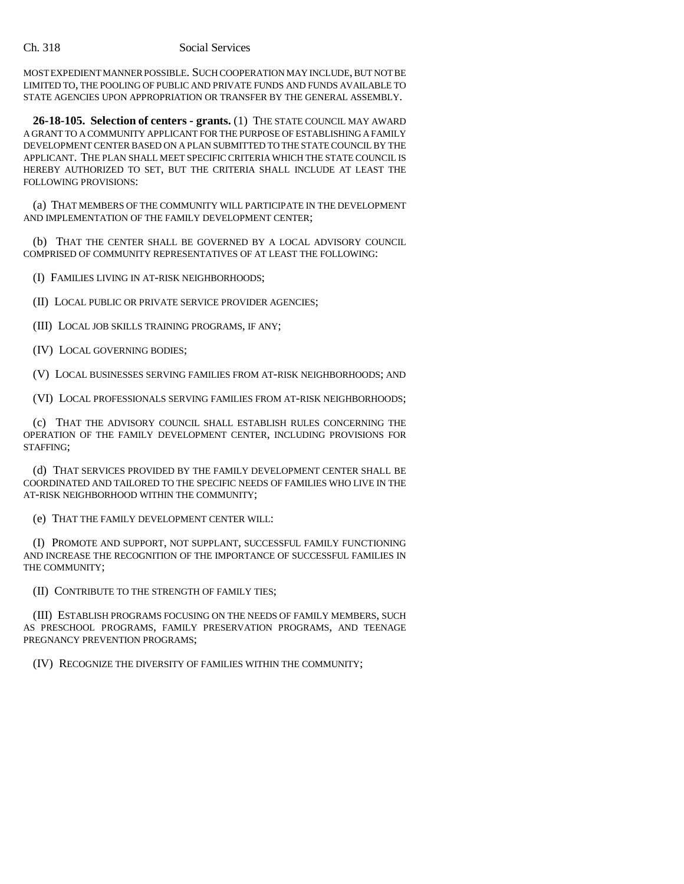MOST EXPEDIENT MANNER POSSIBLE. SUCH COOPERATION MAY INCLUDE, BUT NOT BE LIMITED TO, THE POOLING OF PUBLIC AND PRIVATE FUNDS AND FUNDS AVAILABLE TO STATE AGENCIES UPON APPROPRIATION OR TRANSFER BY THE GENERAL ASSEMBLY.

**26-18-105. Selection of centers - grants.** (1) THE STATE COUNCIL MAY AWARD A GRANT TO A COMMUNITY APPLICANT FOR THE PURPOSE OF ESTABLISHING A FAMILY DEVELOPMENT CENTER BASED ON A PLAN SUBMITTED TO THE STATE COUNCIL BY THE APPLICANT. THE PLAN SHALL MEET SPECIFIC CRITERIA WHICH THE STATE COUNCIL IS HEREBY AUTHORIZED TO SET, BUT THE CRITERIA SHALL INCLUDE AT LEAST THE FOLLOWING PROVISIONS:

(a) THAT MEMBERS OF THE COMMUNITY WILL PARTICIPATE IN THE DEVELOPMENT AND IMPLEMENTATION OF THE FAMILY DEVELOPMENT CENTER;

(b) THAT THE CENTER SHALL BE GOVERNED BY A LOCAL ADVISORY COUNCIL COMPRISED OF COMMUNITY REPRESENTATIVES OF AT LEAST THE FOLLOWING:

(I) FAMILIES LIVING IN AT-RISK NEIGHBORHOODS;

(II) LOCAL PUBLIC OR PRIVATE SERVICE PROVIDER AGENCIES;

(III) LOCAL JOB SKILLS TRAINING PROGRAMS, IF ANY;

(IV) LOCAL GOVERNING BODIES;

(V) LOCAL BUSINESSES SERVING FAMILIES FROM AT-RISK NEIGHBORHOODS; AND

(VI) LOCAL PROFESSIONALS SERVING FAMILIES FROM AT-RISK NEIGHBORHOODS;

(c) THAT THE ADVISORY COUNCIL SHALL ESTABLISH RULES CONCERNING THE OPERATION OF THE FAMILY DEVELOPMENT CENTER, INCLUDING PROVISIONS FOR STAFFING;

(d) THAT SERVICES PROVIDED BY THE FAMILY DEVELOPMENT CENTER SHALL BE COORDINATED AND TAILORED TO THE SPECIFIC NEEDS OF FAMILIES WHO LIVE IN THE AT-RISK NEIGHBORHOOD WITHIN THE COMMUNITY;

(e) THAT THE FAMILY DEVELOPMENT CENTER WILL:

(I) PROMOTE AND SUPPORT, NOT SUPPLANT, SUCCESSFUL FAMILY FUNCTIONING AND INCREASE THE RECOGNITION OF THE IMPORTANCE OF SUCCESSFUL FAMILIES IN THE COMMUNITY;

(II) CONTRIBUTE TO THE STRENGTH OF FAMILY TIES;

(III) ESTABLISH PROGRAMS FOCUSING ON THE NEEDS OF FAMILY MEMBERS, SUCH AS PRESCHOOL PROGRAMS, FAMILY PRESERVATION PROGRAMS, AND TEENAGE PREGNANCY PREVENTION PROGRAMS;

(IV) RECOGNIZE THE DIVERSITY OF FAMILIES WITHIN THE COMMUNITY;